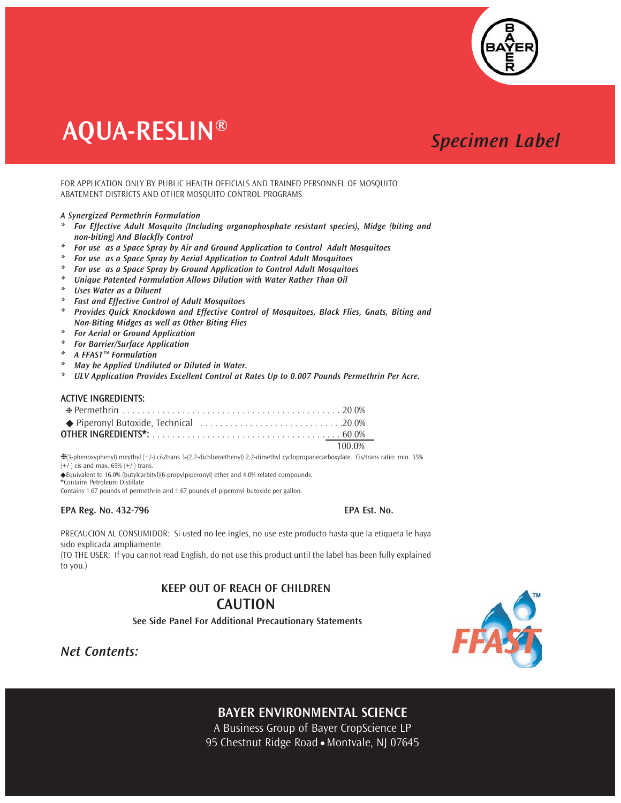

# **AQUA-RESLIN®**

# **Specimen Label**

FOR APPLICATION ONLY BY PUBLIC HEALTH OFFICIALS AND TRAINED PERSONNEL OF MOSQUITO ABATEMENT DISTRICTS AND OTHER MOSQUITO CONTROL PROGRAMS

## A Synergized Permethrin Formulation

- \* For Effective Adult Mosquito (Including organophosphate resistant species), Midge (biting and non-biting) And Blackfly Control
- \* For use as a Space Spray by Air and Ground Application to Control Adult Mosquitoes
- \* For use as a Space Spray by Aerial Application to Control Adult Mosquitoes
- \* For use as a Space Spray by Ground Application to Control Adult Mosquitoes
- \* Unique Patented Formulation Allows Dilution with Water Rather Than Oil
- \* Uses Water as a Diluent
- \* Fast and Effective Control of Adult Mosquitoes
- \* Provides Quick Knockdown and Effective Control of Mosquitoes, Black Flies, Gnats, Biting and Non-Biting Midges as well as Other Biting Flies
- \* For Aerial or Ground Application
- \* For Barrier/Surface Application
- $*$  A FFAST<sup>™</sup> Formulation
- \* May be Applied Undiluted or Diluted in Water.
- \* ULV Application Provides Excellent Control at Rates Up to 0.007 Pounds Permethrin Per Acre.

# **ACTIVE INGREDIENTS:**

| $\bullet$ Piperonyl Butoxide, Technical $\ldots \ldots \ldots \ldots \ldots \ldots \ldots \ldots \ldots \ldots$ |  |
|-----------------------------------------------------------------------------------------------------------------|--|
|                                                                                                                 |  |
| $100.0\%$                                                                                                       |  |

%{3-phenoxyphenyl) meythyl (+/-) cis/trans 3-(2,2-dichloroethenyl) 2,2-dimethyl cyclopropanecarboxylate. Cis/trans ratio: min. 35%  $(+/-)$  cis and max. 65%  $(+/-)$  trans

◆ Equivalent to 16.0% (butylcarbityl)(6-propylpiperonyl) ether and 4.0% related compounds.

\*Contains Petroleum Distillate

Contains 1.67 pounds of permethrin and 1.67 pounds of piperonyl butoxide per gallon.

## EPA Reg. No. 432-796

FPA Est. No.

PRECAUCION AL CONSUMIDOR: Si usted no lee ingles, no use este producto hasta que la etiqueta le haya sido explicada ampliamente.

(TO THE USER: If you cannot read English, do not use this product until the label has been fully explained to you.)

# **KEEP OUT OF REACH OF CHILDREN CAUTION**

See Side Panel For Additional Precautionary Statements



**Net Contents:** 

# **BAYER ENVIRONMENTAL SCIENCE**

A Business Group of Bayer CropScience LP 95 Chestnut Ridge Road · Montvale, NJ 07645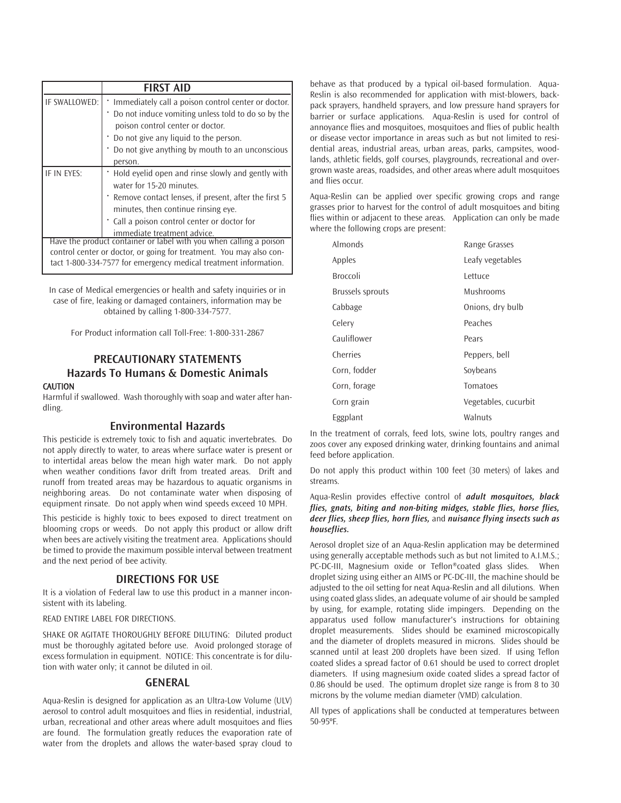|               | <b>FIRST AID</b>                                                                                                                                                                                                                                                |
|---------------|-----------------------------------------------------------------------------------------------------------------------------------------------------------------------------------------------------------------------------------------------------------------|
| IF SWALLOWED: | * Immediately call a poison control center or doctor.<br>Do not induce vomiting unless told to do so by the<br>poison control center or doctor.<br>* Do not give any liquid to the person.<br>Do not give anything by mouth to an unconscious<br>person.        |
| IF IN EYES:   | • Hold eyelid open and rinse slowly and gently with<br>water for 15-20 minutes.<br>* Remove contact lenses, if present, after the first 5<br>minutes, then continue rinsing eye.<br>. Call a poison control center or doctor for<br>immediate treatment advice. |
|               | Have the product container or label with you when calling a poison<br>control center or doctor, or going for treatment. You may also con-<br>tact 1-800-334-7577 for emergency medical treatment information.                                                   |

In case of Medical emergencies or health and safety inquiries or in case of fire, leaking or damaged containers, information may be obtained by calling 1-800-334-7577.

For Product information call Toll-Free: 1-800-331-2867

# PRECAUTIONARY STATEMENTS Hazards To Humans & Domestic Animals

## CAUTION

Harmful if swallowed. Wash thoroughly with soap and water after handling.

# Environmental Hazards

This pesticide is extremely toxic to fish and aquatic invertebrates. Do not apply directly to water, to areas where surface water is present or to intertidal areas below the mean high water mark. Do not apply when weather conditions favor drift from treated areas. Drift and runoff from treated areas may be hazardous to aquatic organisms in neighboring areas. Do not contaminate water when disposing of equipment rinsate. Do not apply when wind speeds exceed 10 MPH.

This pesticide is highly toxic to bees exposed to direct treatment on blooming crops or weeds. Do not apply this product or allow drift when bees are actively visiting the treatment area. Applications should be timed to provide the maximum possible interval between treatment and the next period of bee activity.

# DIRECTIONS FOR USE

It is a violation of Federal law to use this product in a manner inconsistent with its labeling.

## READ ENTIRE LABEL FOR DIRECTIONS.

SHAKE OR AGITATE THOROUGHLY BEFORE DILUTING: Diluted product must be thoroughly agitated before use. Avoid prolonged storage of excess formulation in equipment. NOTICE: This concentrate is for dilution with water only; it cannot be diluted in oil.

# GENERAL

Aqua-Reslin is designed for application as an Ultra-Low Volume (ULV) aerosol to control adult mosquitoes and flies in residential, industrial, urban, recreational and other areas where adult mosquitoes and flies are found. The formulation greatly reduces the evaporation rate of water from the droplets and allows the water-based spray cloud to

behave as that produced by a typical oil-based formulation. Aqua-Reslin is also recommended for application with mist-blowers, backpack sprayers, handheld sprayers, and low pressure hand sprayers for barrier or surface applications. Aqua-Reslin is used for control of annoyance flies and mosquitoes, mosquitoes and flies of public health or disease vector importance in areas such as but not limited to residential areas, industrial areas, urban areas, parks, campsites, woodlands, athletic fields, golf courses, playgrounds, recreational and overgrown waste areas, roadsides, and other areas where adult mosquitoes and flies occur.

Aqua-Reslin can be applied over specific growing crops and range grasses prior to harvest for the control of adult mosquitoes and biting flies within or adjacent to these areas. Application can only be made where the following crops are present:

| Almonds          | Range Grasses        |
|------------------|----------------------|
| Apples           | Leafy vegetables     |
| Broccoli         | l ettuce             |
| Brussels sprouts | Mushrooms            |
| Cabbage          | Onions, dry bulb     |
| Celery           | Peaches              |
| Cauliflower      | Pears                |
| Cherries         | Peppers, bell        |
| Corn, fodder     | Soybeans             |
| Corn, forage     | Tomatoes             |
| Corn grain       | Vegetables, cucurbit |
| Eggplant         | Walnuts              |

In the treatment of corrals, feed lots, swine lots, poultry ranges and zoos cover any exposed drinking water, drinking fountains and animal feed before application.

Do not apply this product within 100 feet (30 meters) of lakes and streams.

# Aqua-Reslin provides effective control of *adult mosquitoes, black flies, gnats, biting and non-biting midges, stable flies, horse flies, deer flies, sheep flies, horn flies,* and *nuisance flying insects such as houseflies.*

Aerosol droplet size of an Aqua-Reslin application may be determined using generally acceptable methods such as but not limited to A.I.M.S.; PC-DC-III, Magnesium oxide or Teflon®coated glass slides. When droplet sizing using either an AIMS or PC-DC-III, the machine should be adjusted to the oil setting for neat Aqua-Reslin and all dilutions. When using coated glass slides, an adequate volume of air should be sampled by using, for example, rotating slide impingers. Depending on the apparatus used follow manufacturer's instructions for obtaining droplet measurements. Slides should be examined microscopically and the diameter of droplets measured in microns. Slides should be scanned until at least 200 droplets have been sized. If using Teflon coated slides a spread factor of 0.61 should be used to correct droplet diameters. If using magnesium oxide coated slides a spread factor of 0.86 should be used. The optimum droplet size range is from 8 to 30 microns by the volume median diameter (VMD) calculation.

All types of applications shall be conducted at temperatures between 50-95ºF.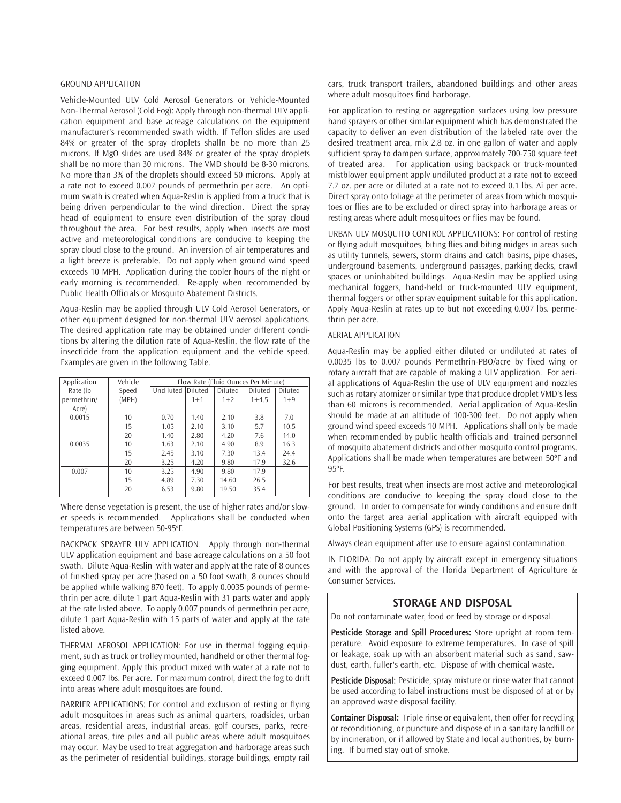# GROUND APPLICATION

Vehicle-Mounted ULV Cold Aerosol Generators or Vehicle-Mounted Non-Thermal Aerosol (Cold Fog): Apply through non-thermal ULV application equipment and base acreage calculations on the equipment manufacturer's recommended swath width. If Teflon slides are used 84% or greater of the spray droplets shalln be no more than 25 microns. If MgO slides are used 84% or greater of the spray droplets shall be no more than 30 microns. The VMD should be 8-30 microns. No more than 3% of the droplets should exceed 50 microns. Apply at a rate not to exceed 0.007 pounds of permethrin per acre. An optimum swath is created when Aqua-Reslin is applied from a truck that is being driven perpendicular to the wind direction. Direct the spray head of equipment to ensure even distribution of the spray cloud throughout the area. For best results, apply when insects are most active and meteorological conditions are conducive to keeping the spray cloud close to the ground. An inversion of air temperatures and a light breeze is preferable. Do not apply when ground wind speed exceeds 10 MPH. Application during the cooler hours of the night or early morning is recommended. Re-apply when recommended by Public Health Officials or Mosquito Abatement Districts.

Aqua-Reslin may be applied through ULV Cold Aerosol Generators, or other equipment designed for non-thermal ULV aerosol applications. The desired application rate may be obtained under different conditions by altering the dilution rate of Aqua-Reslin, the flow rate of the insecticide from the application equipment and the vehicle speed. Examples are given in the following Table.

| Application | Vehicle | Flow Rate (Fluid Ounces Per Minute) |         |                |           |         |
|-------------|---------|-------------------------------------|---------|----------------|-----------|---------|
| Rate (lb    | Speed   | Undiluted Diluted                   |         | <b>Diluted</b> | Diluted   | Diluted |
| permethrin/ | (MPH)   |                                     | $1 + 1$ | $1+2$          | $1 + 4.5$ | $1 + 9$ |
| Acre)       |         |                                     |         |                |           |         |
| 0.0015      | 10      | 0.70                                | 1.40    | 2.10           | 3.8       | 7.0     |
|             | 15      | 1.05                                | 2.10    | 3.10           | 5.7       | 10.5    |
|             | 20      | 1.40                                | 2.80    | 4.20           | 7.6       | 14.0    |
| 0.0035      | 10      | 1.63                                | 2.10    | 4.90           | 8.9       | 16.3    |
|             | 15      | 2.45                                | 3.10    | 7.30           | 13.4      | 24.4    |
|             | 20      | 3.25                                | 4.20    | 9.80           | 17.9      | 32.6    |
| 0.007       | 10      | 3.25                                | 4.90    | 9.80           | 17.9      |         |
|             | 15      | 4.89                                | 7.30    | 14.60          | 26.5      |         |
|             | 20      | 6.53                                | 9.80    | 19.50          | 35.4      |         |

Where dense vegetation is present, the use of higher rates and/or slower speeds is recommended. Applications shall be conducted when temperatures are between 50-95°F.

BACKPACK SPRAYER ULV APPLICATION: Apply through non-thermal ULV application equipment and base acreage calculations on a 50 foot swath. Dilute Aqua-Reslin with water and apply at the rate of 8 ounces of finished spray per acre (based on a 50 foot swath, 8 ounces should be applied while walking 870 feet). To apply 0.0035 pounds of permethrin per acre, dilute 1 part Aqua-Reslin with 31 parts water and apply at the rate listed above. To apply 0.007 pounds of permethrin per acre, dilute 1 part Aqua-Reslin with 15 parts of water and apply at the rate listed above.

THERMAL AEROSOL APPLICATION: For use in thermal fogging equipment, such as truck or trolley mounted, handheld or other thermal fogging equipment. Apply this product mixed with water at a rate not to exceed 0.007 lbs. Per acre. For maximum control, direct the fog to drift into areas where adult mosquitoes are found.

BARRIER APPLICATIONS: For control and exclusion of resting or flying adult mosquitoes in areas such as animal quarters, roadsides, urban areas, residential areas, industrial areas, golf courses, parks, recreational areas, tire piles and all public areas where adult mosquitoes may occur. May be used to treat aggregation and harborage areas such as the perimeter of residential buildings, storage buildings, empty rail cars, truck transport trailers, abandoned buildings and other areas where adult mosquitoes find harborage.

For application to resting or aggregation surfaces using low pressure hand sprayers or other similar equipment which has demonstrated the capacity to deliver an even distribution of the labeled rate over the desired treatment area, mix 2.8 oz. in one gallon of water and apply sufficient spray to dampen surface, approximately 700-750 square feet of treated area. For application using backpack or truck-mounted mistblower equipment apply undiluted product at a rate not to exceed 7.7 oz. per acre or diluted at a rate not to exceed 0.1 lbs. Ai per acre. Direct spray onto foliage at the perimeter of areas from which mosquitoes or flies are to be excluded or direct spray into harborage areas or resting areas where adult mosquitoes or flies may be found.

URBAN ULV MOSQUITO CONTROL APPLICATIONS: For control of resting or flying adult mosquitoes, biting flies and biting midges in areas such as utility tunnels, sewers, storm drains and catch basins, pipe chases, underground basements, underground passages, parking decks, crawl spaces or uninhabited buildings. Aqua-Reslin may be applied using mechanical foggers, hand-held or truck-mounted ULV equipment, thermal foggers or other spray equipment suitable for this application. Apply Aqua-Reslin at rates up to but not exceeding 0.007 lbs. permethrin per acre.

#### AERIAL APPLICATION

Aqua-Reslin may be applied either diluted or undiluted at rates of 0.0035 lbs to 0.007 pounds Permethrin-PBO/acre by fixed wing or rotary aircraft that are capable of making a ULV application. For aerial applications of Aqua-Reslin the use of ULV equipment and nozzles such as rotary atomizer or similar type that produce droplet VMD's less than 60 microns is recommended. Aerial application of Aqua-Reslin should be made at an altitude of 100-300 feet. Do not apply when ground wind speed exceeds 10 MPH. Applications shall only be made when recommended by public health officials and trained personnel of mosquito abatement districts and other mosquito control programs. Applications shall be made when temperatures are between 50ºF and 95ºF.

For best results, treat when insects are most active and meteorological conditions are conducive to keeping the spray cloud close to the ground. In order to compensate for windy conditions and ensure drift onto the target area aerial application with aircraft equipped with Global Positioning Systems (GPS) is recommended.

Always clean equipment after use to ensure against contamination.

IN FLORIDA: Do not apply by aircraft except in emergency situations and with the approval of the Florida Department of Agriculture & Consumer Services.

# STORAGE AND DISPOSAL

Do not contaminate water, food or feed by storage or disposal.

Pesticide Storage and Spill Procedures: Store upright at room temperature. Avoid exposure to extreme temperatures. In case of spill or leakage, soak up with an absorbent material such as sand, sawdust, earth, fuller's earth, etc. Dispose of with chemical waste.

Pesticide Disposal: Pesticide, spray mixture or rinse water that cannot be used according to label instructions must be disposed of at or by an approved waste disposal facility.

Container Disposal: Triple rinse or equivalent, then offer for recycling or reconditioning, or puncture and dispose of in a sanitary landfill or by incineration, or if allowed by State and local authorities, by burning. If burned stay out of smoke.